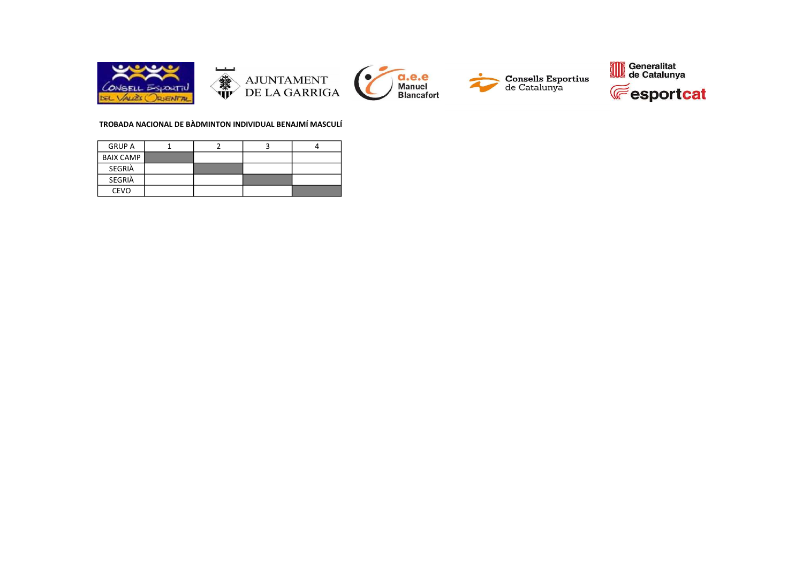

#### TROBADA NACIONAL DE BÀDMINTON INDIVIDUAL BENAJMÍ MASCULÍ

| <b>GRUP A</b>    |  |  |
|------------------|--|--|
| <b>BAIX CAMP</b> |  |  |
| SEGRIÀ           |  |  |
| SEGRIÀ           |  |  |
| <b>CEVO</b>      |  |  |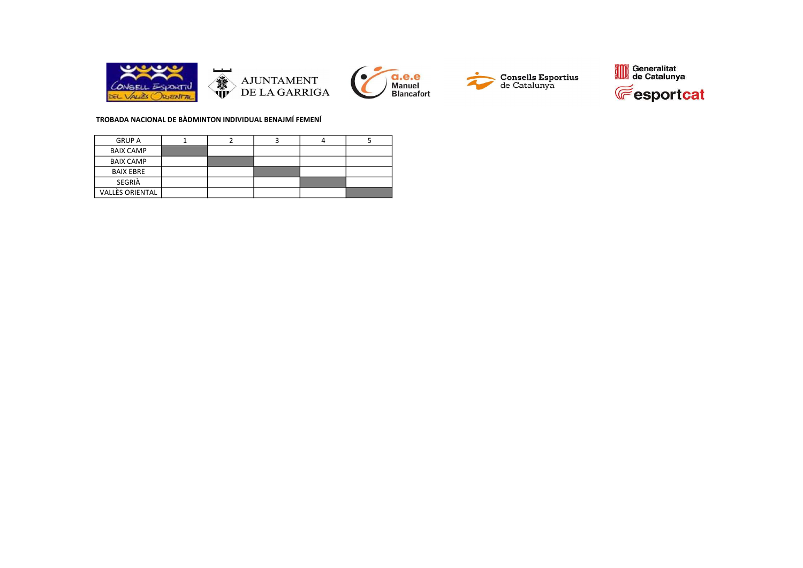

#### TROBADA NACIONAL DE BÀDMINTON INDIVIDUAL BENAJMÍ FEMENÍ

| <b>GRUP A</b>          |  |  |  |
|------------------------|--|--|--|
| <b>BAIX CAMP</b>       |  |  |  |
| <b>BAIX CAMP</b>       |  |  |  |
| <b>BAIX EBRE</b>       |  |  |  |
| SEGRIÀ                 |  |  |  |
| <b>VALLÈS ORIENTAL</b> |  |  |  |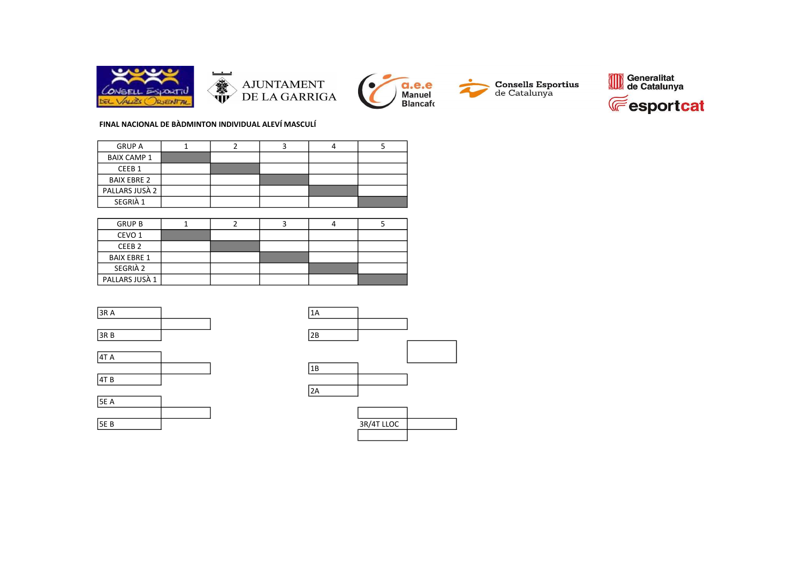







# FINAL NACIONAL DE BÀDMINTON INDIVIDUAL ALEVÍ MASCULÍ

| <b>GRUP A</b>      |  |  |  |
|--------------------|--|--|--|
| <b>BAIX CAMP 1</b> |  |  |  |
| CEEB <sub>1</sub>  |  |  |  |
| <b>BAIX EBRE 2</b> |  |  |  |
| PALLARS JUSÀ 2     |  |  |  |
| SEGRIÀ 1           |  |  |  |

| <b>GRUP B</b>      |  |  |  |
|--------------------|--|--|--|
| CEVO 1             |  |  |  |
| CEEB <sub>2</sub>  |  |  |  |
| <b>BAIX EBRE 1</b> |  |  |  |
| SEGRIÀ 2           |  |  |  |
| PALLARS JUSÀ 1     |  |  |  |





|             |  | . |            |
|-------------|--|---|------------|
| <b>5E A</b> |  |   |            |
|             |  |   |            |
| <b>5EB</b>  |  |   | 3R/4T LLOC |
|             |  |   |            |



| 3R/4T LLOC |  |
|------------|--|
|            |  |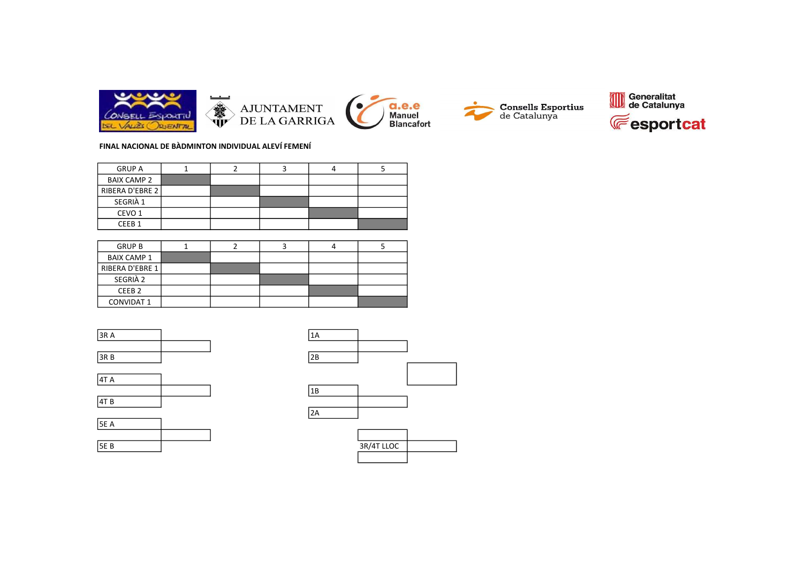









## FINAL NACIONAL DE BÀDMINTON INDIVIDUAL ALEVÍ FEMENÍ

| <b>GRUP A</b>      |  |  |  |
|--------------------|--|--|--|
| <b>BAIX CAMP 2</b> |  |  |  |
| RIBERA D'EBRE 2    |  |  |  |
| SEGRIÀ 1           |  |  |  |
| CEVO 1             |  |  |  |
| CEEB <sub>1</sub>  |  |  |  |

| <b>GRUP B</b>      |  |  |  |
|--------------------|--|--|--|
| <b>BAIX CAMP 1</b> |  |  |  |
| RIBERA D'EBRE 1    |  |  |  |
| SEGRIÀ 2           |  |  |  |
| CEEB <sub>2</sub>  |  |  |  |
| <b>CONVIDAT 1</b>  |  |  |  |





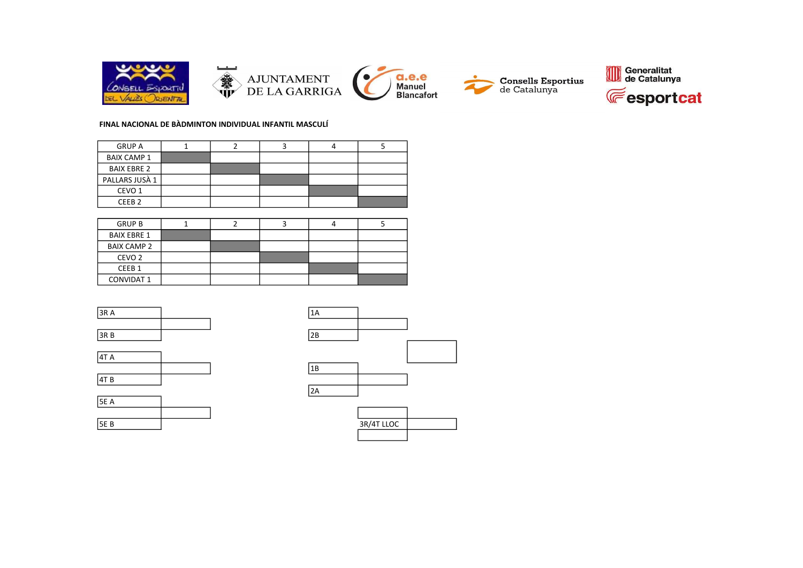

## FINAL NACIONAL DE BÀDMINTON INDIVIDUAL INFANTIL MASCULÍ

| <b>GRUP A</b>      |  |  |  |
|--------------------|--|--|--|
| <b>BAIX CAMP 1</b> |  |  |  |
| <b>BAIX EBRE 2</b> |  |  |  |
| PALLARS JUSÀ 1     |  |  |  |
| CEVO 1             |  |  |  |
| CEEB <sub>2</sub>  |  |  |  |

| <b>GRUP B</b>      |  |  |  |
|--------------------|--|--|--|
| <b>BAIX EBRE 1</b> |  |  |  |
| <b>BAIX CAMP 2</b> |  |  |  |
| CEVO <sub>2</sub>  |  |  |  |
| CEEB <sub>1</sub>  |  |  |  |
| <b>CONVIDAT 1</b>  |  |  |  |









| 3R/4T LLOC |  |
|------------|--|
|            |  |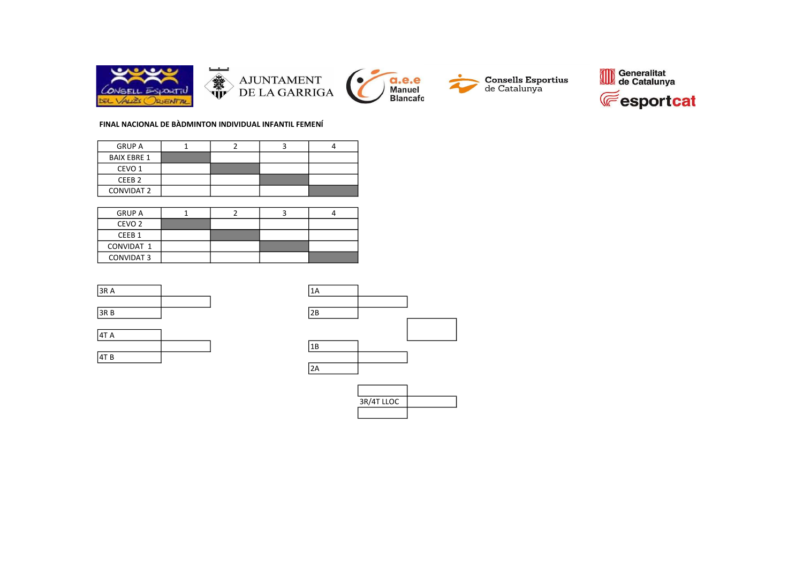

## FINAL NACIONAL DE BÀDMINTON INDIVIDUAL INFANTIL FEMENÍ

| <b>GRUP A</b>      |  |  |
|--------------------|--|--|
| <b>BAIX EBRE 1</b> |  |  |
| CEVO <sub>1</sub>  |  |  |
| CEEB <sub>2</sub>  |  |  |
| <b>CONVIDAT 2</b>  |  |  |

| <b>GRUP A</b>     |  |  |
|-------------------|--|--|
| CEVO <sub>2</sub> |  |  |
| CEEB <sub>1</sub> |  |  |
| CONVIDAT 1        |  |  |
| <b>CONVIDAT 3</b> |  |  |

| 3RA  | ŦΗ  |
|------|-----|
|      |     |
| 3R B | 2B. |





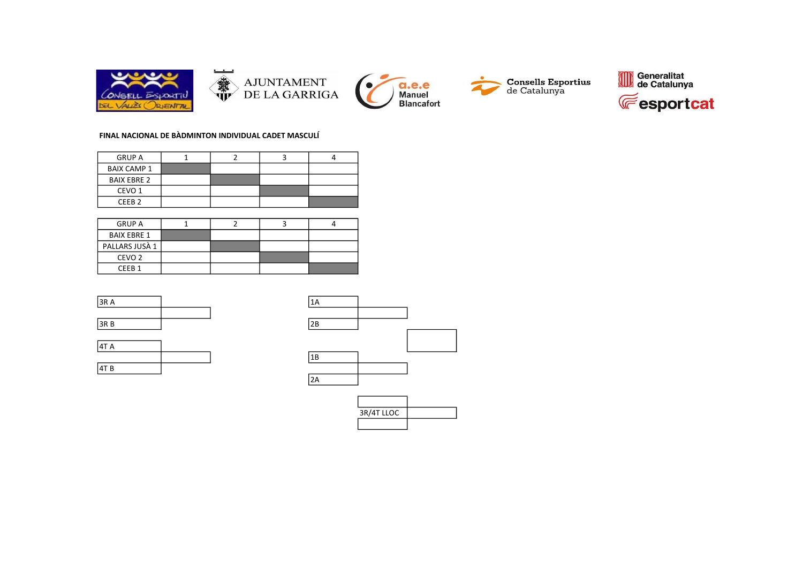







#### FINAL NACIONAL DE BÀDMINTON INDIVIDUAL CADET MASCULÍ

| <b>GRUP A</b>      |  |  |
|--------------------|--|--|
| <b>BAIX CAMP 1</b> |  |  |
| <b>BAIX EBRE 2</b> |  |  |
| CEVO <sub>1</sub>  |  |  |
| CFFR <sub>2</sub>  |  |  |

| <b>GRUP A</b>      |  |  |
|--------------------|--|--|
| <b>BAIX EBRE 1</b> |  |  |
| PALLARS JUSÀ 1     |  |  |
| CEVO <sub>2</sub>  |  |  |
| CFFB <sub>1</sub>  |  |  |

| 3R A | TН |
|------|----|
|      |    |
| 3RB  | 2B |





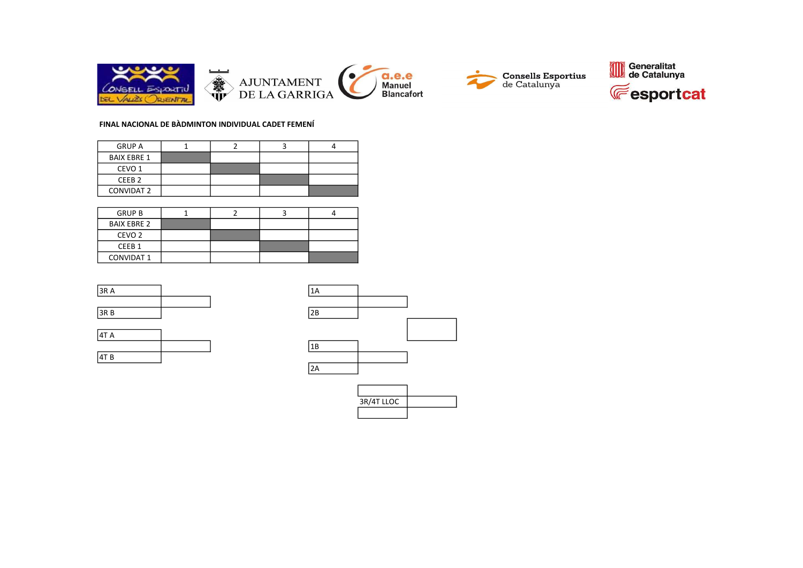





## FINAL NACIONAL DE BÀDMINTON INDIVIDUAL CADET FEMENÍ

| <b>GRUP A</b>      |  |  |
|--------------------|--|--|
| <b>BAIX EBRE 1</b> |  |  |
| CEVO <sub>1</sub>  |  |  |
| CEEB <sub>2</sub>  |  |  |
| <b>CONVIDAT 2</b>  |  |  |

| <b>GRUP B</b>      |  |  |
|--------------------|--|--|
| <b>BAIX EBRE 2</b> |  |  |
| CEVO <sub>2</sub>  |  |  |
| CEEB <sub>1</sub>  |  |  |
| <b>CONVIDAT 1</b>  |  |  |

| 3RA  | ۰A |
|------|----|
|      |    |
| 3R B | 2B |





| 3R/4T LLOC |  |
|------------|--|
|            |  |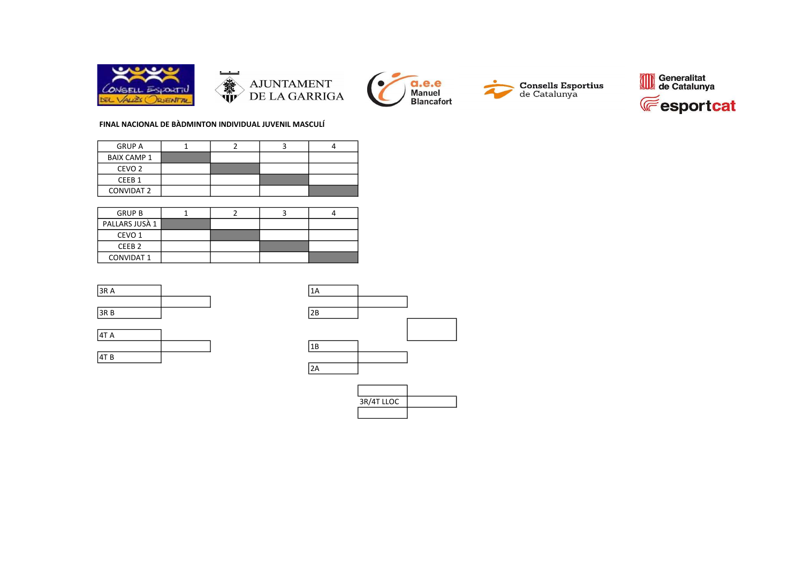







## FINAL NACIONAL DE BÀDMINTON INDIVIDUAL JUVENIL MASCULÍ

| <b>GRUP A</b>      |  |  |
|--------------------|--|--|
| <b>BAIX CAMP 1</b> |  |  |
| CEVO <sub>2</sub>  |  |  |
| CEEB <sub>1</sub>  |  |  |
| <b>CONVIDAT 2</b>  |  |  |

| <b>GRUP B</b>     |  |  |
|-------------------|--|--|
| PALLARS JUSÀ 1    |  |  |
| CEVO <sub>1</sub> |  |  |
| CEEB <sub>2</sub> |  |  |
| <b>CONVIDAT 1</b> |  |  |

| 3RA  | ŦΗ  |
|------|-----|
|      |     |
| 3R B | 2B. |